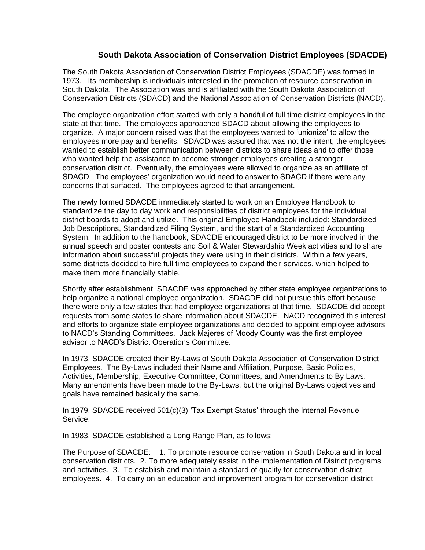## **South Dakota Association of Conservation District Employees (SDACDE)**

The South Dakota Association of Conservation District Employees (SDACDE) was formed in 1973. Its membership is individuals interested in the promotion of resource conservation in South Dakota. The Association was and is affiliated with the South Dakota Association of Conservation Districts (SDACD) and the National Association of Conservation Districts (NACD).

The employee organization effort started with only a handful of full time district employees in the state at that time. The employees approached SDACD about allowing the employees to organize. A major concern raised was that the employees wanted to 'unionize' to allow the employees more pay and benefits. SDACD was assured that was not the intent; the employees wanted to establish better communication between districts to share ideas and to offer those who wanted help the assistance to become stronger employees creating a stronger conservation district. Eventually, the employees were allowed to organize as an affiliate of SDACD. The employees' organization would need to answer to SDACD if there were any concerns that surfaced. The employees agreed to that arrangement.

The newly formed SDACDE immediately started to work on an Employee Handbook to standardize the day to day work and responsibilities of district employees for the individual district boards to adopt and utilize. This original Employee Handbook included: Standardized Job Descriptions, Standardized Filing System, and the start of a Standardized Accounting System. In addition to the handbook, SDACDE encouraged district to be more involved in the annual speech and poster contests and Soil & Water Stewardship Week activities and to share information about successful projects they were using in their districts. Within a few years, some districts decided to hire full time employees to expand their services, which helped to make them more financially stable.

Shortly after establishment, SDACDE was approached by other state employee organizations to help organize a national employee organization. SDACDE did not pursue this effort because there were only a few states that had employee organizations at that time. SDACDE did accept requests from some states to share information about SDACDE. NACD recognized this interest and efforts to organize state employee organizations and decided to appoint employee advisors to NACD's Standing Committees. Jack Majeres of Moody County was the first employee advisor to NACD's District Operations Committee.

In 1973, SDACDE created their By-Laws of South Dakota Association of Conservation District Employees. The By-Laws included their Name and Affiliation, Purpose, Basic Policies, Activities, Membership, Executive Committee, Committees, and Amendments to By Laws. Many amendments have been made to the By-Laws, but the original By-Laws objectives and goals have remained basically the same.

In 1979, SDACDE received 501(c)(3) 'Tax Exempt Status' through the Internal Revenue Service.

In 1983, SDACDE established a Long Range Plan, as follows:

The Purpose of SDACDE: 1. To promote resource conservation in South Dakota and in local conservation districts. 2. To more adequately assist in the implementation of District programs and activities. 3. To establish and maintain a standard of quality for conservation district employees. 4. To carry on an education and improvement program for conservation district